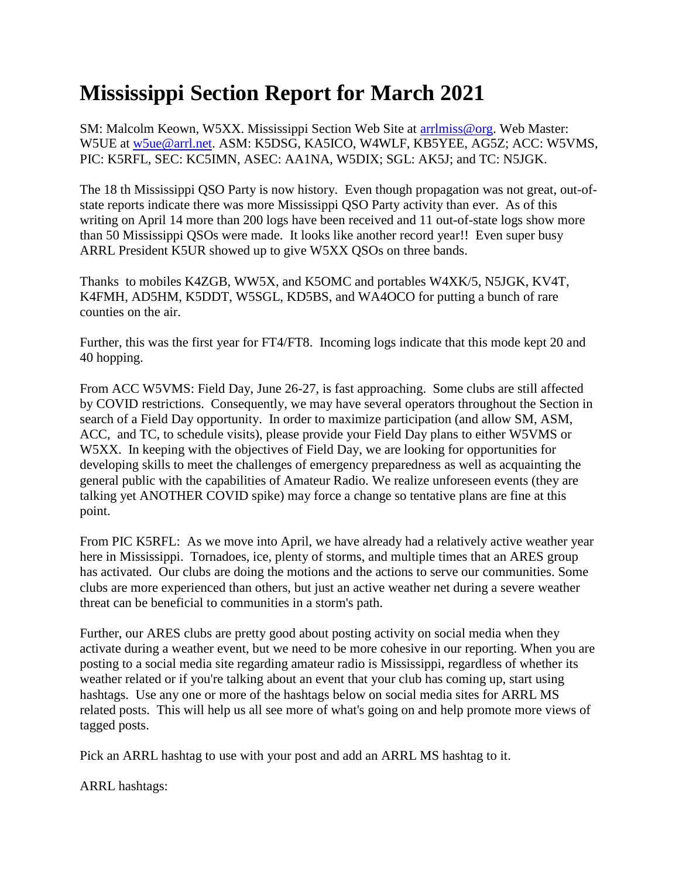## **Mississippi Section Report for March 2021**

SM: Malcolm Keown, W5XX. Mississippi Section Web Site at [arrlmiss@org.](mailto:arrlmiss@org) Web Master: W5UE at [w5ue@arrl.net.](mailto:w5ue@arrl.net) ASM: K5DSG, KA5ICO, W4WLF, KB5YEE, AG5Z; ACC: W5VMS, PIC: K5RFL, SEC: KC5IMN, ASEC: AA1NA, W5DIX; SGL: AK5J; and TC: N5JGK.

The 18 th Mississippi QSO Party is now history. Even though propagation was not great, out-ofstate reports indicate there was more Mississippi QSO Party activity than ever. As of this writing on April 14 more than 200 logs have been received and 11 out-of-state logs show more than 50 Mississippi QSOs were made. It looks like another record year!! Even super busy ARRL President K5UR showed up to give W5XX QSOs on three bands.

Thanks to mobiles K4ZGB, WW5X, and K5OMC and portables W4XK/5, N5JGK, KV4T, K4FMH, AD5HM, K5DDT, W5SGL, KD5BS, and WA4OCO for putting a bunch of rare counties on the air.

Further, this was the first year for FT4/FT8. Incoming logs indicate that this mode kept 20 and 40 hopping.

From ACC W5VMS: Field Day, June 26-27, is fast approaching. Some clubs are still affected by COVID restrictions. Consequently, we may have several operators throughout the Section in search of a Field Day opportunity. In order to maximize participation (and allow SM, ASM, ACC, and TC, to schedule visits), please provide your Field Day plans to either W5VMS or W5XX. In keeping with the objectives of Field Day, we are looking for opportunities for developing skills to meet the challenges of emergency preparedness as well as acquainting the general public with the capabilities of Amateur Radio. We realize unforeseen events (they are talking yet ANOTHER COVID spike) may force a change so tentative plans are fine at this point.

From PIC K5RFL: As we move into April, we have already had a relatively active weather year here in Mississippi. Tornadoes, ice, plenty of storms, and multiple times that an ARES group has activated. Our clubs are doing the motions and the actions to serve our communities. Some clubs are more experienced than others, but just an active weather net during a severe weather threat can be beneficial to communities in a storm's path.

Further, our ARES clubs are pretty good about posting activity on social media when they activate during a weather event, but we need to be more cohesive in our reporting. When you are posting to a social media site regarding amateur radio is Mississippi, regardless of whether its weather related or if you're talking about an event that your club has coming up, start using hashtags. Use any one or more of the hashtags below on social media sites for ARRL MS related posts. This will help us all see more of what's going on and help promote more views of tagged posts.

Pick an ARRL hashtag to use with your post and add an ARRL MS hashtag to it.

ARRL hashtags: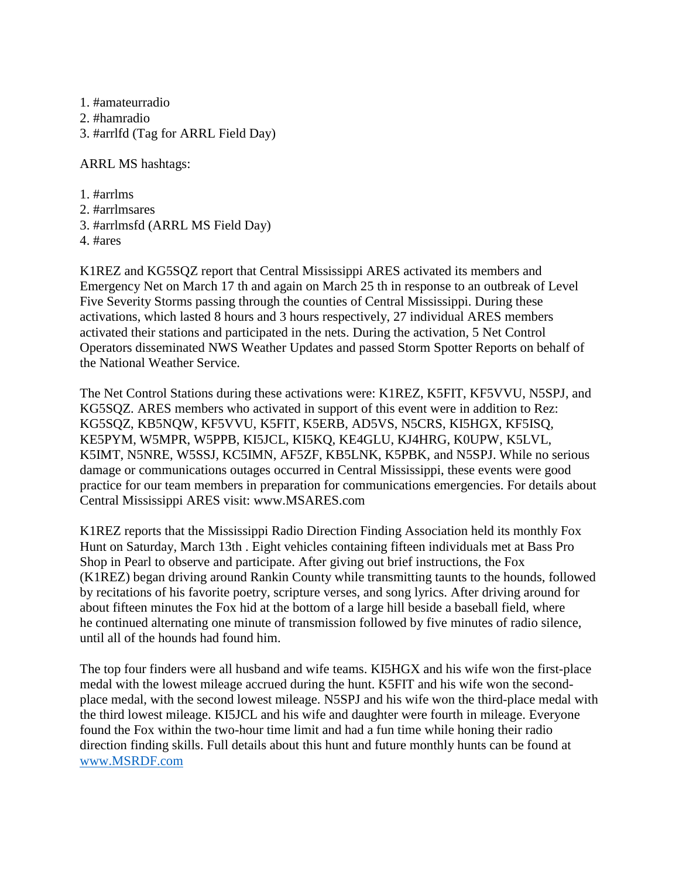1. #amateurradio 2. #hamradio 3. #arrlfd (Tag for ARRL Field Day)

ARRL MS hashtags:

1. #arrlms 2. #arrlmsares 3. #arrlmsfd (ARRL MS Field Day) 4. #ares

K1REZ and KG5SQZ report that Central Mississippi ARES activated its members and Emergency Net on March 17 th and again on March 25 th in response to an outbreak of Level Five Severity Storms passing through the counties of Central Mississippi. During these activations, which lasted 8 hours and 3 hours respectively, 27 individual ARES members activated their stations and participated in the nets. During the activation, 5 Net Control Operators disseminated NWS Weather Updates and passed Storm Spotter Reports on behalf of the National Weather Service.

The Net Control Stations during these activations were: K1REZ, K5FIT, KF5VVU, N5SPJ, and KG5SQZ. ARES members who activated in support of this event were in addition to Rez: KG5SQZ, KB5NQW, KF5VVU, K5FIT, K5ERB, AD5VS, N5CRS, KI5HGX, KF5ISQ, KE5PYM, W5MPR, W5PPB, KI5JCL, KI5KQ, KE4GLU, KJ4HRG, K0UPW, K5LVL, K5IMT, N5NRE, W5SSJ, KC5IMN, AF5ZF, KB5LNK, K5PBK, and N5SPJ. While no serious damage or communications outages occurred in Central Mississippi, these events were good practice for our team members in preparation for communications emergencies. For details about Central Mississippi ARES visit: www.MSARES.com

K1REZ reports that the Mississippi Radio Direction Finding Association held its monthly Fox Hunt on Saturday, March 13th . Eight vehicles containing fifteen individuals met at Bass Pro Shop in Pearl to observe and participate. After giving out brief instructions, the Fox (K1REZ) began driving around Rankin County while transmitting taunts to the hounds, followed by recitations of his favorite poetry, scripture verses, and song lyrics. After driving around for about fifteen minutes the Fox hid at the bottom of a large hill beside a baseball field, where he continued alternating one minute of transmission followed by five minutes of radio silence, until all of the hounds had found him.

The top four finders were all husband and wife teams. KI5HGX and his wife won the first-place medal with the lowest mileage accrued during the hunt. K5FIT and his wife won the secondplace medal, with the second lowest mileage. N5SPJ and his wife won the third-place medal with the third lowest mileage. KI5JCL and his wife and daughter were fourth in mileage. Everyone found the Fox within the two-hour time limit and had a fun time while honing their radio direction finding skills. Full details about this hunt and future monthly hunts can be found at [www.MSRDF.com](http://www.msrdf.com/)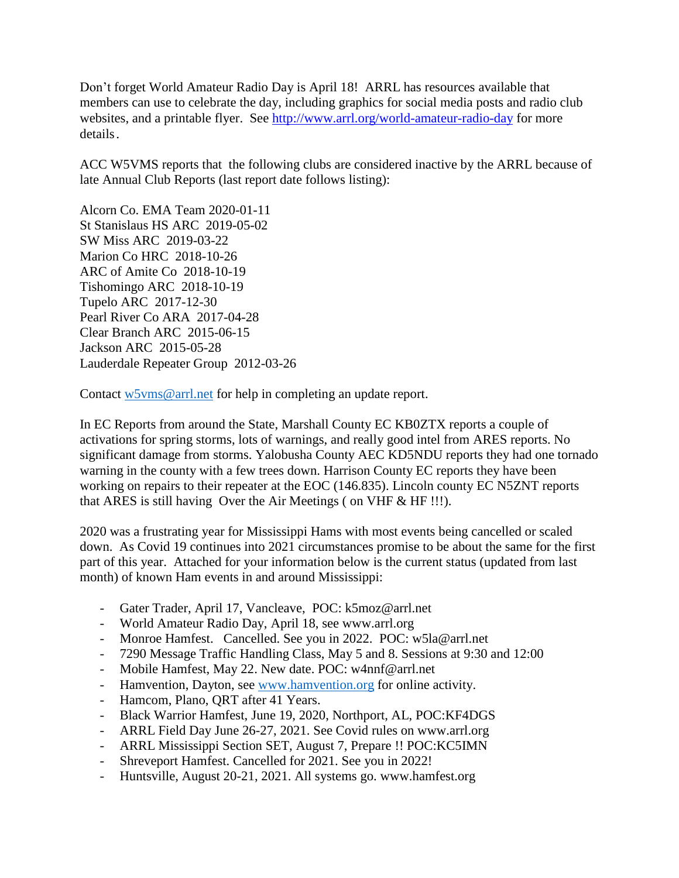Don't forget World Amateur Radio Day is April 18! ARRL has resources available that members can use to celebrate the day, including graphics for social media posts and radio club websites, and a printable flyer. See <http://www.arrl.org/world-amateur-radio-day> for more details.

ACC W5VMS reports that the following clubs are considered inactive by the ARRL because of late Annual Club Reports (last report date follows listing):

Alcorn Co. EMA Team 2020-01-11 St Stanislaus HS ARC 2019-05-02 SW Miss ARC 2019-03-22 Marion Co HRC 2018-10-26 ARC of Amite Co 2018-10-19 Tishomingo ARC 2018-10-19 Tupelo ARC 2017-12-30 Pearl River Co ARA 2017-04-28 Clear Branch ARC 2015-06-15 Jackson ARC 2015-05-28 Lauderdale Repeater Group 2012-03-26

Contact [w5vms@arrl.net](mailto:w5vms@arrl.net) for help in completing an update report.

In EC Reports from around the State, Marshall County EC KB0ZTX reports a couple of activations for spring storms, lots of warnings, and really good intel from ARES reports. No significant damage from storms. Yalobusha County AEC KD5NDU reports they had one tornado warning in the county with a few trees down. Harrison County EC reports they have been working on repairs to their repeater at the EOC (146.835). Lincoln county EC N5ZNT reports that ARES is still having Over the Air Meetings ( on VHF & HF !!!).

2020 was a frustrating year for Mississippi Hams with most events being cancelled or scaled down. As Covid 19 continues into 2021 circumstances promise to be about the same for the first part of this year. Attached for your information below is the current status (updated from last month) of known Ham events in and around Mississippi:

- Gater Trader, April 17, Vancleave, POC: k5moz@arrl.net
- World Amateur Radio Day, April 18, see www.arrl.org
- Monroe Hamfest. Cancelled. See you in 2022. POC: w5la@arrl.net
- 7290 Message Traffic Handling Class, May 5 and 8. Sessions at 9:30 and 12:00
- Mobile Hamfest, May 22. New date. POC: w4nnf@arrl.net
- Hamvention, Dayton, see [www.hamvention.org](http://www.hamvention.org/) for online activity.
- Hamcom, Plano, QRT after 41 Years.
- Black Warrior Hamfest, June 19, 2020, Northport, AL, POC:KF4DGS
- ARRL Field Day June 26-27, 2021. See Covid rules on www.arrl.org
- ARRL Mississippi Section SET, August 7, Prepare !! POC:KC5IMN
- Shreveport Hamfest. Cancelled for 2021. See you in 2022!
- Huntsville, August 20-21, 2021. All systems go. www.hamfest.org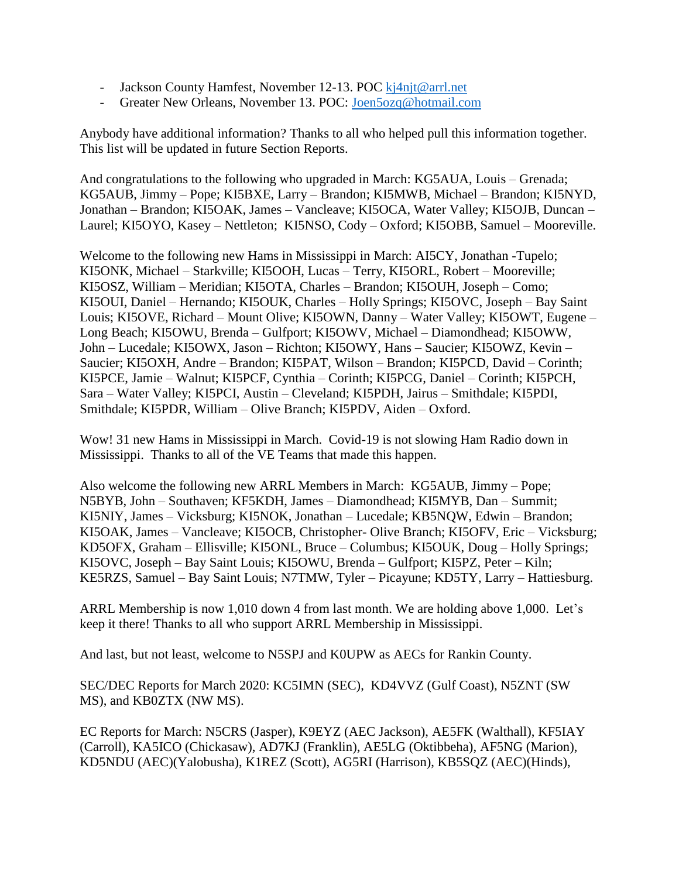- Jackson County Hamfest, November 12-13. POC [kj4njt@arrl.net](mailto:kj4njt@arrl.net)
- Greater New Orleans, November 13. POC: [Joen5ozq@hotmail.com](mailto:Joen5ozq@hotmail.com)

Anybody have additional information? Thanks to all who helped pull this information together. This list will be updated in future Section Reports.

And congratulations to the following who upgraded in March: KG5AUA, Louis – Grenada; KG5AUB, Jimmy – Pope; KI5BXE, Larry – Brandon; KI5MWB, Michael – Brandon; KI5NYD, Jonathan – Brandon; KI5OAK, James – Vancleave; KI5OCA, Water Valley; KI5OJB, Duncan – Laurel; KI5OYO, Kasey – Nettleton; KI5NSO, Cody – Oxford; KI5OBB, Samuel – Mooreville.

Welcome to the following new Hams in Mississippi in March: AI5CY, Jonathan -Tupelo; KI5ONK, Michael – Starkville; KI5OOH, Lucas – Terry, KI5ORL, Robert – Mooreville; KI5OSZ, William – Meridian; KI5OTA, Charles – Brandon; KI5OUH, Joseph – Como; KI5OUI, Daniel – Hernando; KI5OUK, Charles – Holly Springs; KI5OVC, Joseph – Bay Saint Louis; KI5OVE, Richard – Mount Olive; KI5OWN, Danny – Water Valley; KI5OWT, Eugene – Long Beach; KI5OWU, Brenda – Gulfport; KI5OWV, Michael – Diamondhead; KI5OWW, John – Lucedale; KI5OWX, Jason – Richton; KI5OWY, Hans – Saucier; KI5OWZ, Kevin – Saucier; KI5OXH, Andre – Brandon; KI5PAT, Wilson – Brandon; KI5PCD, David – Corinth; KI5PCE, Jamie – Walnut; KI5PCF, Cynthia – Corinth; KI5PCG, Daniel – Corinth; KI5PCH, Sara – Water Valley; KI5PCI, Austin – Cleveland; KI5PDH, Jairus – Smithdale; KI5PDI, Smithdale; KI5PDR, William – Olive Branch; KI5PDV, Aiden – Oxford.

Wow! 31 new Hams in Mississippi in March. Covid-19 is not slowing Ham Radio down in Mississippi. Thanks to all of the VE Teams that made this happen.

Also welcome the following new ARRL Members in March: KG5AUB, Jimmy – Pope; N5BYB, John – Southaven; KF5KDH, James – Diamondhead; KI5MYB, Dan – Summit; KI5NIY, James – Vicksburg; KI5NOK, Jonathan – Lucedale; KB5NQW, Edwin – Brandon; KI5OAK, James – Vancleave; KI5OCB, Christopher- Olive Branch; KI5OFV, Eric – Vicksburg; KD5OFX, Graham – Ellisville; KI5ONL, Bruce – Columbus; KI5OUK, Doug – Holly Springs; KI5OVC, Joseph – Bay Saint Louis; KI5OWU, Brenda – Gulfport; KI5PZ, Peter – Kiln; KE5RZS, Samuel – Bay Saint Louis; N7TMW, Tyler – Picayune; KD5TY, Larry – Hattiesburg.

ARRL Membership is now 1,010 down 4 from last month. We are holding above 1,000. Let's keep it there! Thanks to all who support ARRL Membership in Mississippi.

And last, but not least, welcome to N5SPJ and K0UPW as AECs for Rankin County.

SEC/DEC Reports for March 2020: KC5IMN (SEC), KD4VVZ (Gulf Coast), N5ZNT (SW MS), and KB0ZTX (NW MS).

EC Reports for March: N5CRS (Jasper), K9EYZ (AEC Jackson), AE5FK (Walthall), KF5IAY (Carroll), KA5ICO (Chickasaw), AD7KJ (Franklin), AE5LG (Oktibbeha), AF5NG (Marion), KD5NDU (AEC)(Yalobusha), K1REZ (Scott), AG5RI (Harrison), KB5SQZ (AEC)(Hinds),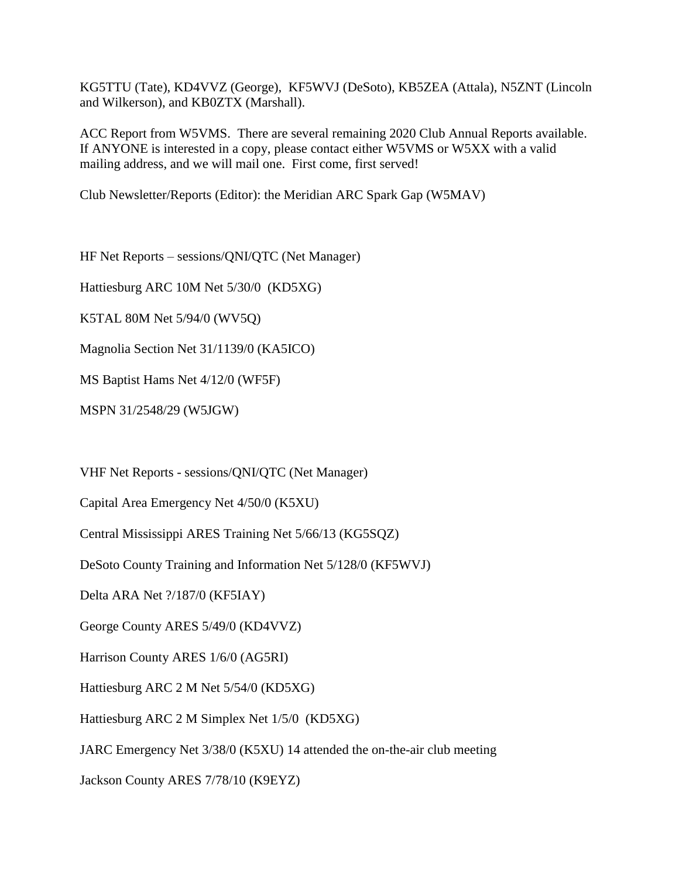KG5TTU (Tate), KD4VVZ (George), KF5WVJ (DeSoto), KB5ZEA (Attala), N5ZNT (Lincoln and Wilkerson), and KB0ZTX (Marshall).

ACC Report from W5VMS. There are several remaining 2020 Club Annual Reports available. If ANYONE is interested in a copy, please contact either W5VMS or W5XX with a valid mailing address, and we will mail one. First come, first served!

Club Newsletter/Reports (Editor): the Meridian ARC Spark Gap (W5MAV)

HF Net Reports – sessions/QNI/QTC (Net Manager)

Hattiesburg ARC 10M Net 5/30/0 (KD5XG)

K5TAL 80M Net 5/94/0 (WV5Q)

Magnolia Section Net 31/1139/0 (KA5ICO)

MS Baptist Hams Net 4/12/0 (WF5F)

MSPN 31/2548/29 (W5JGW)

VHF Net Reports - sessions/QNI/QTC (Net Manager)

Capital Area Emergency Net 4/50/0 (K5XU)

Central Mississippi ARES Training Net 5/66/13 (KG5SQZ)

DeSoto County Training and Information Net 5/128/0 (KF5WVJ)

Delta ARA Net ?/187/0 (KF5IAY)

George County ARES 5/49/0 (KD4VVZ)

Harrison County ARES 1/6/0 (AG5RI)

Hattiesburg ARC 2 M Net 5/54/0 (KD5XG)

Hattiesburg ARC 2 M Simplex Net 1/5/0 (KD5XG)

JARC Emergency Net 3/38/0 (K5XU) 14 attended the on-the-air club meeting

Jackson County ARES 7/78/10 (K9EYZ)